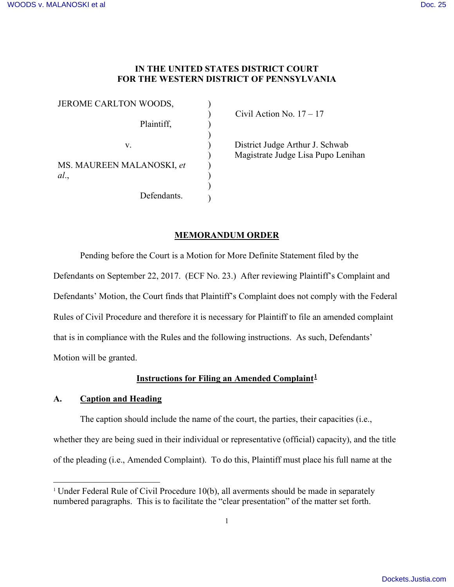# **IN THE UNITED STATES DISTRICT COURT FOR THE WESTERN DISTRICT OF PENNSYLVANIA**

 $\mathcal{L}$ 

 $\mathcal{L}$ )

) ) ) )

JEROME CARLTON WOODS, Plaintiff, v. MS. MAUREEN MALANOSKI, *et al*., Defendants.

 $\text{Civil Action No. } 17-17$ 

) District Judge Arthur J. Schwab ) Magistrate Judge Lisa Pupo Lenihan

# **MEMORANDUM ORDER**

Pending before the Court is a Motion for More Definite Statement filed by the Defendants on September 22, 2017. (ECF No. 23.) After reviewing Plaintiff's Complaint and Defendants' Motion, the Court finds that Plaintiff's Complaint does not comply with the Federal Rules of Civil Procedure and therefore it is necessary for Plaintiff to file an amended complaint that is in compliance with the Rules and the following instructions. As such, Defendants' Motion will be granted.

# **Instructions for Filing an Amended Complaint[1](#page-0-0)**

## **A. Caption and Heading**

The caption should include the name of the court, the parties, their capacities (i.e., whether they are being sued in their individual or representative (official) capacity), and the title of the pleading (i.e., Amended Complaint). To do this, Plaintiff must place his full name at the

<span id="page-0-0"></span><sup>-</sup><sup>1</sup> Under Federal Rule of Civil Procedure 10(b), all averments should be made in separately numbered paragraphs. This is to facilitate the "clear presentation" of the matter set forth.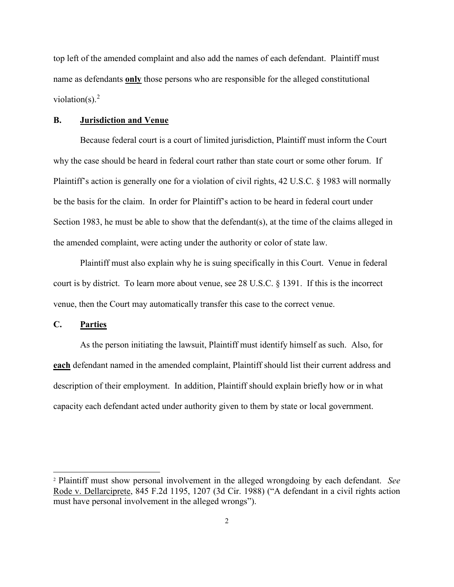top left of the amended complaint and also add the names of each defendant. Plaintiff must name as defendants **only** those persons who are responsible for the alleged constitutional violation(s). $2$ 

#### **B. Jurisdiction and Venue**

Because federal court is a court of limited jurisdiction, Plaintiff must inform the Court why the case should be heard in federal court rather than state court or some other forum. If Plaintiff's action is generally one for a violation of civil rights, 42 U.S.C. § 1983 will normally be the basis for the claim. In order for Plaintiff's action to be heard in federal court under Section 1983, he must be able to show that the defendant(s), at the time of the claims alleged in the amended complaint, were acting under the authority or color of state law.

Plaintiff must also explain why he is suing specifically in this Court. Venue in federal court is by district. To learn more about venue, see 28 U.S.C. § 1391. If this is the incorrect venue, then the Court may automatically transfer this case to the correct venue.

**C. Parties** 

 $\overline{a}$ 

As the person initiating the lawsuit, Plaintiff must identify himself as such. Also, for **each** defendant named in the amended complaint, Plaintiff should list their current address and description of their employment. In addition, Plaintiff should explain briefly how or in what capacity each defendant acted under authority given to them by state or local government.

<span id="page-1-0"></span><sup>2</sup> Plaintiff must show personal involvement in the alleged wrongdoing by each defendant. *See* Rode v. Dellarciprete, 845 F.2d 1195, 1207 (3d Cir. 1988) ("A defendant in a civil rights action must have personal involvement in the alleged wrongs").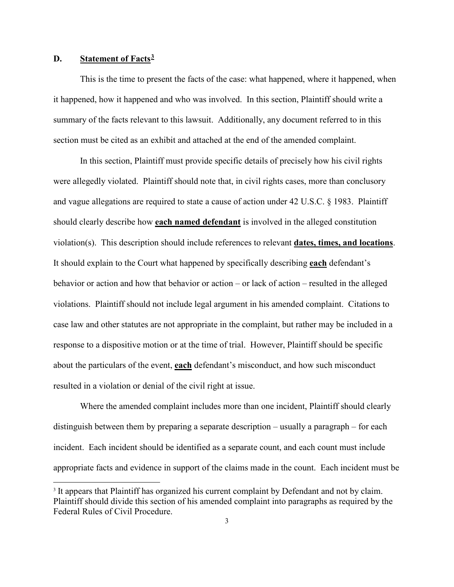## **D. Statement of Facts[3](#page-2-0)**

-

This is the time to present the facts of the case: what happened, where it happened, when it happened, how it happened and who was involved. In this section, Plaintiff should write a summary of the facts relevant to this lawsuit. Additionally, any document referred to in this section must be cited as an exhibit and attached at the end of the amended complaint.

In this section, Plaintiff must provide specific details of precisely how his civil rights were allegedly violated. Plaintiff should note that, in civil rights cases, more than conclusory and vague allegations are required to state a cause of action under 42 U.S.C. § 1983. Plaintiff should clearly describe how **each named defendant** is involved in the alleged constitution violation(s). This description should include references to relevant **dates, times, and locations**. It should explain to the Court what happened by specifically describing **each** defendant's behavior or action and how that behavior or action – or lack of action – resulted in the alleged violations. Plaintiff should not include legal argument in his amended complaint. Citations to case law and other statutes are not appropriate in the complaint, but rather may be included in a response to a dispositive motion or at the time of trial. However, Plaintiff should be specific about the particulars of the event, **each** defendant's misconduct, and how such misconduct resulted in a violation or denial of the civil right at issue.

Where the amended complaint includes more than one incident, Plaintiff should clearly distinguish between them by preparing a separate description – usually a paragraph – for each incident. Each incident should be identified as a separate count, and each count must include appropriate facts and evidence in support of the claims made in the count. Each incident must be

<span id="page-2-0"></span><sup>&</sup>lt;sup>3</sup> It appears that Plaintiff has organized his current complaint by Defendant and not by claim. Plaintiff should divide this section of his amended complaint into paragraphs as required by the Federal Rules of Civil Procedure.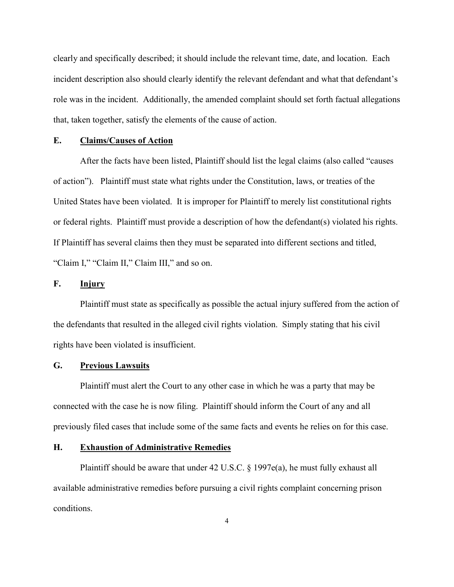clearly and specifically described; it should include the relevant time, date, and location. Each incident description also should clearly identify the relevant defendant and what that defendant's role was in the incident. Additionally, the amended complaint should set forth factual allegations that, taken together, satisfy the elements of the cause of action.

## **E. Claims/Causes of Action**

After the facts have been listed, Plaintiff should list the legal claims (also called "causes of action"). Plaintiff must state what rights under the Constitution, laws, or treaties of the United States have been violated. It is improper for Plaintiff to merely list constitutional rights or federal rights. Plaintiff must provide a description of how the defendant(s) violated his rights. If Plaintiff has several claims then they must be separated into different sections and titled, "Claim I," "Claim II," Claim III," and so on.

### **F. Injury**

Plaintiff must state as specifically as possible the actual injury suffered from the action of the defendants that resulted in the alleged civil rights violation. Simply stating that his civil rights have been violated is insufficient.

#### **G. Previous Lawsuits**

Plaintiff must alert the Court to any other case in which he was a party that may be connected with the case he is now filing. Plaintiff should inform the Court of any and all previously filed cases that include some of the same facts and events he relies on for this case.

#### **H. Exhaustion of Administrative Remedies**

Plaintiff should be aware that under 42 U.S.C. § 1997e(a), he must fully exhaust all available administrative remedies before pursuing a civil rights complaint concerning prison conditions.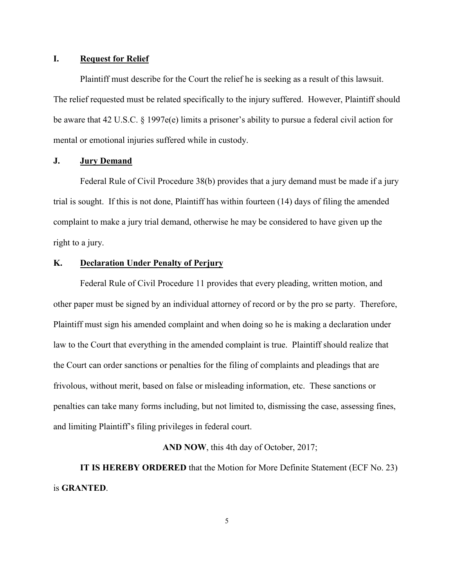### **I. Request for Relief**

Plaintiff must describe for the Court the relief he is seeking as a result of this lawsuit. The relief requested must be related specifically to the injury suffered. However, Plaintiff should be aware that 42 U.S.C. § 1997e(e) limits a prisoner's ability to pursue a federal civil action for mental or emotional injuries suffered while in custody.

### **J. Jury Demand**

Federal Rule of Civil Procedure 38(b) provides that a jury demand must be made if a jury trial is sought. If this is not done, Plaintiff has within fourteen (14) days of filing the amended complaint to make a jury trial demand, otherwise he may be considered to have given up the right to a jury.

### **K. Declaration Under Penalty of Perjury**

Federal Rule of Civil Procedure 11 provides that every pleading, written motion, and other paper must be signed by an individual attorney of record or by the pro se party. Therefore, Plaintiff must sign his amended complaint and when doing so he is making a declaration under law to the Court that everything in the amended complaint is true. Plaintiff should realize that the Court can order sanctions or penalties for the filing of complaints and pleadings that are frivolous, without merit, based on false or misleading information, etc. These sanctions or penalties can take many forms including, but not limited to, dismissing the case, assessing fines, and limiting Plaintiff's filing privileges in federal court.

**AND NOW**, this 4th day of October, 2017;

**IT IS HEREBY ORDERED** that the Motion for More Definite Statement (ECF No. 23) is **GRANTED**.

5